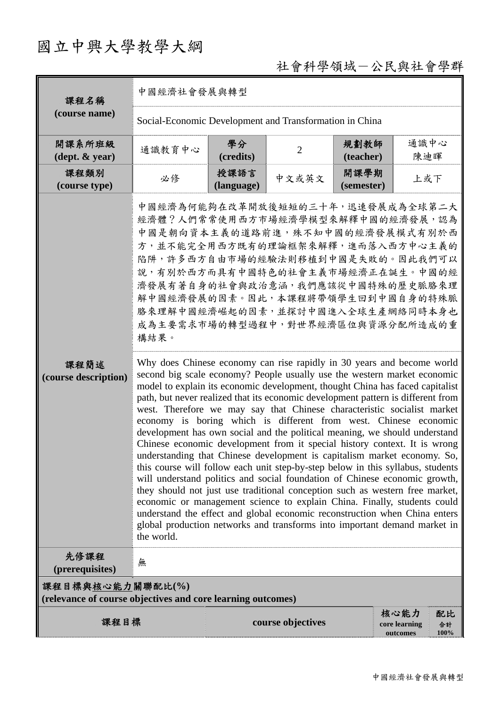# 國立中興大學教學大綱

# 社會科學領域-公民與社會學群

| 課程名稱                                                                                                                                                                                                                                                                                                                                                                                                                                                                                                                                                                                                                                                                                                                                                                                                                                                                                                                                                                                                                                                                                                                                                                                                                                                                                                                                                                                                                                                                                                                                                                                                                                      | 中國經濟社會發展與轉型                                             |                    |                |                    |             |  |
|-------------------------------------------------------------------------------------------------------------------------------------------------------------------------------------------------------------------------------------------------------------------------------------------------------------------------------------------------------------------------------------------------------------------------------------------------------------------------------------------------------------------------------------------------------------------------------------------------------------------------------------------------------------------------------------------------------------------------------------------------------------------------------------------------------------------------------------------------------------------------------------------------------------------------------------------------------------------------------------------------------------------------------------------------------------------------------------------------------------------------------------------------------------------------------------------------------------------------------------------------------------------------------------------------------------------------------------------------------------------------------------------------------------------------------------------------------------------------------------------------------------------------------------------------------------------------------------------------------------------------------------------|---------------------------------------------------------|--------------------|----------------|--------------------|-------------|--|
| (course name)                                                                                                                                                                                                                                                                                                                                                                                                                                                                                                                                                                                                                                                                                                                                                                                                                                                                                                                                                                                                                                                                                                                                                                                                                                                                                                                                                                                                                                                                                                                                                                                                                             | Social-Economic Development and Transformation in China |                    |                |                    |             |  |
| 開課系所班級<br>$(\text{dept.} \& \text{ year})$                                                                                                                                                                                                                                                                                                                                                                                                                                                                                                                                                                                                                                                                                                                                                                                                                                                                                                                                                                                                                                                                                                                                                                                                                                                                                                                                                                                                                                                                                                                                                                                                | 通識教育中心                                                  | 學分<br>(credits)    | $\overline{2}$ | 規劃教師<br>(teacher)  | 通識中心<br>陳迪暉 |  |
| 課程類別<br>(course type)                                                                                                                                                                                                                                                                                                                                                                                                                                                                                                                                                                                                                                                                                                                                                                                                                                                                                                                                                                                                                                                                                                                                                                                                                                                                                                                                                                                                                                                                                                                                                                                                                     | 必修                                                      | 授課語言<br>(language) | 中文或英文          | 開課學期<br>(semester) | 上或下         |  |
| 中國經濟為何能夠在改革開放後短短的三十年,迅速發展成為全球第二大<br>經濟體?人們常常使用西方市場經濟學模型來解釋中國的經濟發展,認為<br>中國是朝向資本主義的道路前進,殊不知中國的經濟發展模式有別於西<br>方,並不能完全用西方既有的理論框架來解釋,進而落入西方中心主義的<br>陷阱,許多西方自由市場的經驗法則移植到中國是失敗的。因此我們可以<br>說,有別於西方而具有中國特色的社會主義市場經濟正在誕生。中國的經<br>濟發展有著自身的社會與政治意涵,我們應該從中國特殊的歷史脈胳來理<br>解中國經濟發展的因素。因此,本課程將帶領學生回到中國自身的特殊脈<br><b>胳來理解中國經濟崛起的因素,並探討中國進入全球生產網絡同時本身也</b><br>成為主要需求市場的轉型過程中,對世界經濟區位與資源分配所造成的重<br>構結果。<br>Why does Chinese economy can rise rapidly in 30 years and become world<br>課程簡述<br>second big scale economy? People usually use the western market economic<br>(course description)<br>model to explain its economic development, thought China has faced capitalist<br>path, but never realized that its economic development pattern is different from<br>west. Therefore we may say that Chinese characteristic socialist market<br>economy is boring which is different from west. Chinese economic<br>development has own social and the political meaning, we should understand<br>Chinese economic development from it special history context. It is wrong<br>understanding that Chinese development is capitalism market economy. So,<br>this course will follow each unit step-by-step below in this syllabus, students<br>will understand politics and social foundation of Chinese economic growth,<br>they should not just use traditional conception such as western free market,<br>economic or management science to explain China. Finally, students could<br>understand the effect and global economic reconstruction when China enters<br>global production networks and transforms into important demand market in<br>the world. |                                                         |                    |                |                    |             |  |
| 先修課程<br>無<br>(prerequisites)                                                                                                                                                                                                                                                                                                                                                                                                                                                                                                                                                                                                                                                                                                                                                                                                                                                                                                                                                                                                                                                                                                                                                                                                                                                                                                                                                                                                                                                                                                                                                                                                              |                                                         |                    |                |                    |             |  |
| 課程目標與核心能力關聯配比(%)<br>(relevance of course objectives and core learning outcomes)                                                                                                                                                                                                                                                                                                                                                                                                                                                                                                                                                                                                                                                                                                                                                                                                                                                                                                                                                                                                                                                                                                                                                                                                                                                                                                                                                                                                                                                                                                                                                           |                                                         |                    |                |                    |             |  |
| 核心能力<br>配比<br>課程目標<br>course objectives<br>core learning<br>合計<br>100%<br>outcomes                                                                                                                                                                                                                                                                                                                                                                                                                                                                                                                                                                                                                                                                                                                                                                                                                                                                                                                                                                                                                                                                                                                                                                                                                                                                                                                                                                                                                                                                                                                                                        |                                                         |                    |                |                    |             |  |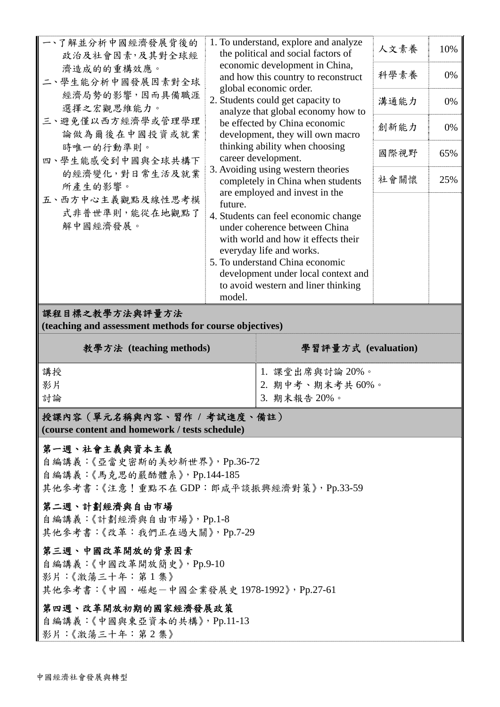| 人文素養<br>10%<br>the political and social factors of<br>政治及社會因素,及其對全球經<br>economic development in China,<br>濟造成的的重構效應。<br>科學素養<br>0%<br>and how this country to reconstruct<br>二、學生能分析中國發展因素對全球<br>global economic order.<br>經濟局勢的影響,因而具備職涯<br>2. Students could get capacity to<br>溝通能力<br>0%<br>選擇之宏觀思維能力。<br>analyze that global economy how to<br>三、避免僅以西方經濟學或管理學理<br>be effected by China economic<br>創新能力<br>0%<br>論做為爾後在中國投資或就業<br>development, they will own macro<br>thinking ability when choosing<br>時唯一的行動準則。<br>國際視野<br>65%<br>career development.<br>四、學生能感受到中國與全球共構下<br>3. Avoiding using western theories<br>的經濟變化,對日常生活及就業<br>社會關懷<br>25%<br>completely in China when students<br>所產生的影響。<br>are employed and invest in the<br>五、西方中心主義觀點及線性思考模<br>future.<br>式非普世準則,能從在地觀點了<br>4. Students can feel economic change<br>解中國經濟發展。<br>under coherence between China<br>with world and how it effects their<br>everyday life and works.<br>5. To understand China economic<br>development under local context and |                  |                                                                              |  |
|-------------------------------------------------------------------------------------------------------------------------------------------------------------------------------------------------------------------------------------------------------------------------------------------------------------------------------------------------------------------------------------------------------------------------------------------------------------------------------------------------------------------------------------------------------------------------------------------------------------------------------------------------------------------------------------------------------------------------------------------------------------------------------------------------------------------------------------------------------------------------------------------------------------------------------------------------------------------------------------------------------------------------------|------------------|------------------------------------------------------------------------------|--|
|                                                                                                                                                                                                                                                                                                                                                                                                                                                                                                                                                                                                                                                                                                                                                                                                                                                                                                                                                                                                                               | 一、了解並分析中國經濟發展背後的 | 1. To understand, explore and analyze<br>to avoid western and liner thinking |  |
|                                                                                                                                                                                                                                                                                                                                                                                                                                                                                                                                                                                                                                                                                                                                                                                                                                                                                                                                                                                                                               |                  |                                                                              |  |
|                                                                                                                                                                                                                                                                                                                                                                                                                                                                                                                                                                                                                                                                                                                                                                                                                                                                                                                                                                                                                               |                  |                                                                              |  |
|                                                                                                                                                                                                                                                                                                                                                                                                                                                                                                                                                                                                                                                                                                                                                                                                                                                                                                                                                                                                                               |                  |                                                                              |  |
|                                                                                                                                                                                                                                                                                                                                                                                                                                                                                                                                                                                                                                                                                                                                                                                                                                                                                                                                                                                                                               |                  |                                                                              |  |
|                                                                                                                                                                                                                                                                                                                                                                                                                                                                                                                                                                                                                                                                                                                                                                                                                                                                                                                                                                                                                               |                  |                                                                              |  |
| model.                                                                                                                                                                                                                                                                                                                                                                                                                                                                                                                                                                                                                                                                                                                                                                                                                                                                                                                                                                                                                        |                  |                                                                              |  |

# 課程目標之教學方法與評量方法

**(teaching and assessment methods for course objectives)** 

| 教學方法 (teaching methods) | 學習評量方式 (evaluation)                                 |
|-------------------------|-----------------------------------------------------|
| 講授                      |                                                     |
| 影片                      | 1. 課堂出席與討論 20%。<br>2. 期中考、期末考共 60%。<br>3. 期末報告 20%。 |
| 討論                      |                                                     |

# 授課內容(單元名稱與內容、習作 **/** 考試進度、備註) **(course content and homework / tests schedule)**

# 第一週、社會主義與資本主義

自編講義:《亞當史密斯的美妙新世界》,Pp.36-72 自編講義:《馬克思的嚴酷體系》,Pp.144-185 其他參考書:《注意!重點不在 GDP: 郎咸平談振興經濟對策》, Pp.33-59

# 第二週、計劃經濟與自由市場

自編講義:《計劃經濟與自由市場》,Pp.1-8 其他參考書:《改革:我們正在過大關》,Pp.7-29

# 第三週、中國改革開放的背景因素

自編講義:《中國改革開放簡史》,Pp.9-10 影片:《激蕩三十年:第 1 集》 其他參考書:《中國·崛起一中國企業發展史 1978-1992》, Pp.27-61

# 第四週、改革開放初期的國家經濟發展政策

自編講義:《中國與東亞資本的共構》,Pp.11-13 影片:《激蕩三十年:第 2 集》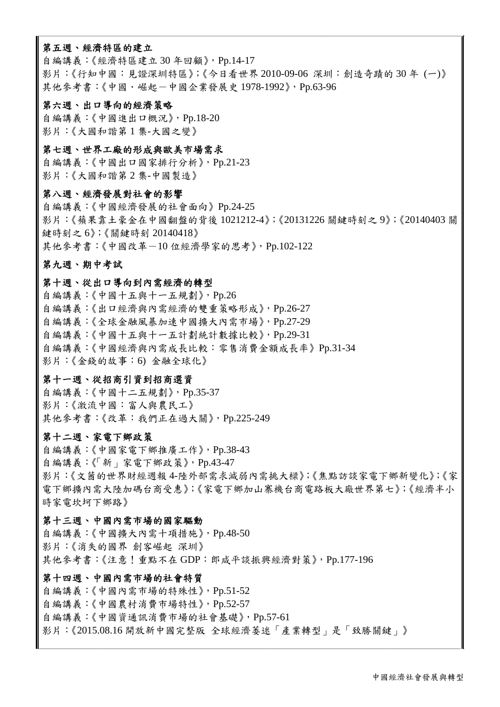# 第五週、經濟特區的建立

自編講義:《經濟特區建立 30 年回顧》,Pp.14-17 影片:《行知中國:見證深圳特區》;《今日看世界 2010-09-06 深圳:創造奇蹟的 30 年 (一)》 其他參考書:《中國·崛起-中國企業發展史 1978-1992》, Pp.63-96

#### 第六週、出口導向的經濟策略

自編講義:《中國進出口概況》,Pp.18-20 影片:《大國和諧第 1 集-大國之變》

# 第七週、世界工廠的形成與歐美市場需求

自編講義:《中國出口國家排行分析》,Pp.21-23 影片:《大國和諧第 2 集-中國製造》

#### 第八週、經濟發展對社會的影響

自編講義:《中國經濟發展的社會面向》Pp.24-25 影片:《蘋果靠土豪金在中國翻盤的背後 1021212-4》;《20131226 關鍵時刻之 9》;《20140403 關 鍵時刻之 6》;《關鍵時刻 20140418》 其他參考書:《中國改革-10位經濟學家的思考》, Pp.102-122

# 第九週、期中考試

#### 第十週、從出口導向到內需經濟的轉型

自編講義:《中國十五與十一五規劃》,Pp.26 自編講義:《出口經濟與內需經濟的雙重策略形成》,Pp.26-27 自編講義:《全球金融風暴加速中國擴大內需市場》,Pp.27-29 自編講義:《中國十五與十一五計劃統計數據比較》,Pp.29-31 自編講義:《中國經濟與內需成長比較:零售消費金額成長率》Pp.31-34 影片:《金錢的故事:6) 金融全球化》

# 第十一週、從招商引資到招商選資

自編講義:《中國十二五規劃》,Pp.35-37 影片:《激流中國:富人與農民工》 其他參考書:《改革:我們正在過大關》,Pp.225-249

# 第十二週、家電下鄉政策

自編講義:《中國家電下鄉推廣工作》,Pp.38-43 自編講義:《「新」家電下鄉政策》,Pp.43-47 影片:《文莤的世界財經週報 4-陸外部需求減弱內需挑大樑》;《焦點訪談家電下鄉新變化》;《家 電下鄉擴內需大陸加碼台商受惠》;《家電下鄉加山寨機台商電路板大廠世界第七》;《經濟半小 時家電坎坷下鄉路》

# 第十三週、中國內需市場的國家驅動

自編講義:《中國擴大內需十項措施》,Pp.48-50 影片:《消失的國界 創客崛起 深圳》 其他參考書:《注意!重點不在 GDP:郎咸平談振興經濟對策》, Pp.177-196

#### 第十四週、中國內需市場的社會特質

自編講義:《中國內需市場的特殊性》,Pp.51-52 自編講義:《中國農村消費市場特性》,Pp.52-57 自編講義:《中國資通訊消費市場的社會基礎》,Pp.57-61 影片:《2015.08.16 開放新中國完整版 全球經濟萎迷「產業轉型」是「致勝關鍵」》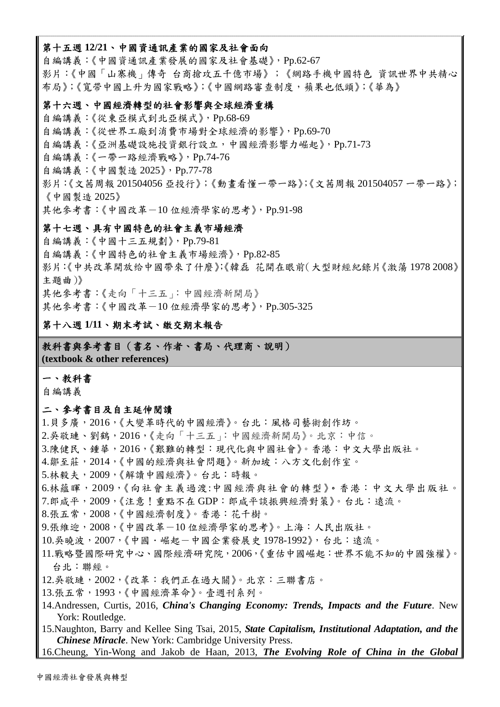#### 第十五週 **12/21**、中國資通訊產業的國家及社會面向

自編講義:《中國資通訊產業發展的國家及社會基礎》,Pp.62-67 影片:《中國「山寨機」傳奇 台商搶攻五千億市場》;《網路手機中國特色 資訊世界中共精心 布局》;《寬带中國上升为國家戰略》;《中國網路審查制度,蘋果也低頭》;《華為》

#### 第十六週、中國經濟轉型的社會影響與全球經濟重構

自編講義:《從東亞模式到北亞模式》,Pp.68-69 自編講義:《從世界工廠到消費市場對全球經濟的影響》,Pp.69-70 自編講義:《亞洲基礎設施投資銀行設立,中國經濟影響力崛起》,Pp.71-73 自編講義:《一帶一路經濟戰略》,Pp.74-76 自編講義:《中國製造 2025》,Pp.77-78 影片:《文茜周報 201504056 亞投行》;《動畫看懂一帶一路》;《文茜周報 201504057 一帶一路》; 《中國製造 2025》 其他參考書:《中國改革-10位經濟學家的思考》,Pp.91-98

# 第十七週、具有中國特色的社會主義市場經濟

自編講義:《中國十三五規劃》,Pp.79-81 自編講義:《中國特色的社會主義市場經濟》,Pp.82-85 影片:《中共改革開放给中國帶來了什麼》;《韓磊 花開在眼前(大型財經紀錄片《激蕩 1978 2008》 主題曲)》 其他參考書:《走向「十三五」:中國經濟新開局》 其他參考書:《中國改革-10 位經濟學家的思考》, Pp.305-325

# 第十八週 **1/11**、期末考試、繳交期末報告

教科書與參考書目(書名、作者、書局、代理商、說明) **(textbook & other references)**

# 一、教科書

自編講義

#### 二、參考書目及自主延伸閱讀

1.貝多廣,2016,《大變革時代的中國經濟》。台北:風格司藝術創作坊。

- 2.吳敬璉、劉鶴,2016,《走向「十三五」:中國經濟新開局》。北京:中信。
- 3.陳健民、鍾華,2016,《艱難的轉型:現代化與中國社會》。香港:中文大學出版社。
- 4.鄒至莊,2014,《中國的經濟與社會問題》。新加坡:八方文化創作室。
- 5.林毅夫,2009,《解讀中國經濟》。台北:時報。
- 6.林蘊暉,2009,《向社會主義過渡:中國經濟與社會的轉型》。香港:中文大學出版社。
- 7.郎咸平,2009,《注意!重點不在 GDP:郎咸平談振興經濟對策》。台北:遠流。
- 8.張五常,2008,《中國經濟制度》。香港:花千樹。
- 9.張維迎, 2008,《中國改革-10位經濟學家的思考》。上海: 人民出版社。
- 10.吳曉波, 2007, 《中國·崛起一中國企業發展史 1978-1992》, 台北:遠流。
- 11.戰略暨國際研究中心、國際經濟研究院,2006,《重估中國崛起:世界不能不知的中國強權》。 台北:聯經。
- 12.吳敬璉,2002,《改革:我們正在過大關》。北京:三聯書店。
- 13.張五常,1993,《中國經濟革命》。壹週刊系列。
- 14.Andressen, Curtis, 2016, *China's Changing Economy: Trends, Impacts and the Future*. New York: Routledge.

15.Naughton, Barry and Kellee Sing Tsai, 2015, *State Capitalism, Institutional Adaptation, and the Chinese Miracle*. New York: Cambridge University Press.

```
16.Cheung, Yin-Wong and Jakob de Haan, 2013, The Evolving Role of China in the Global
```